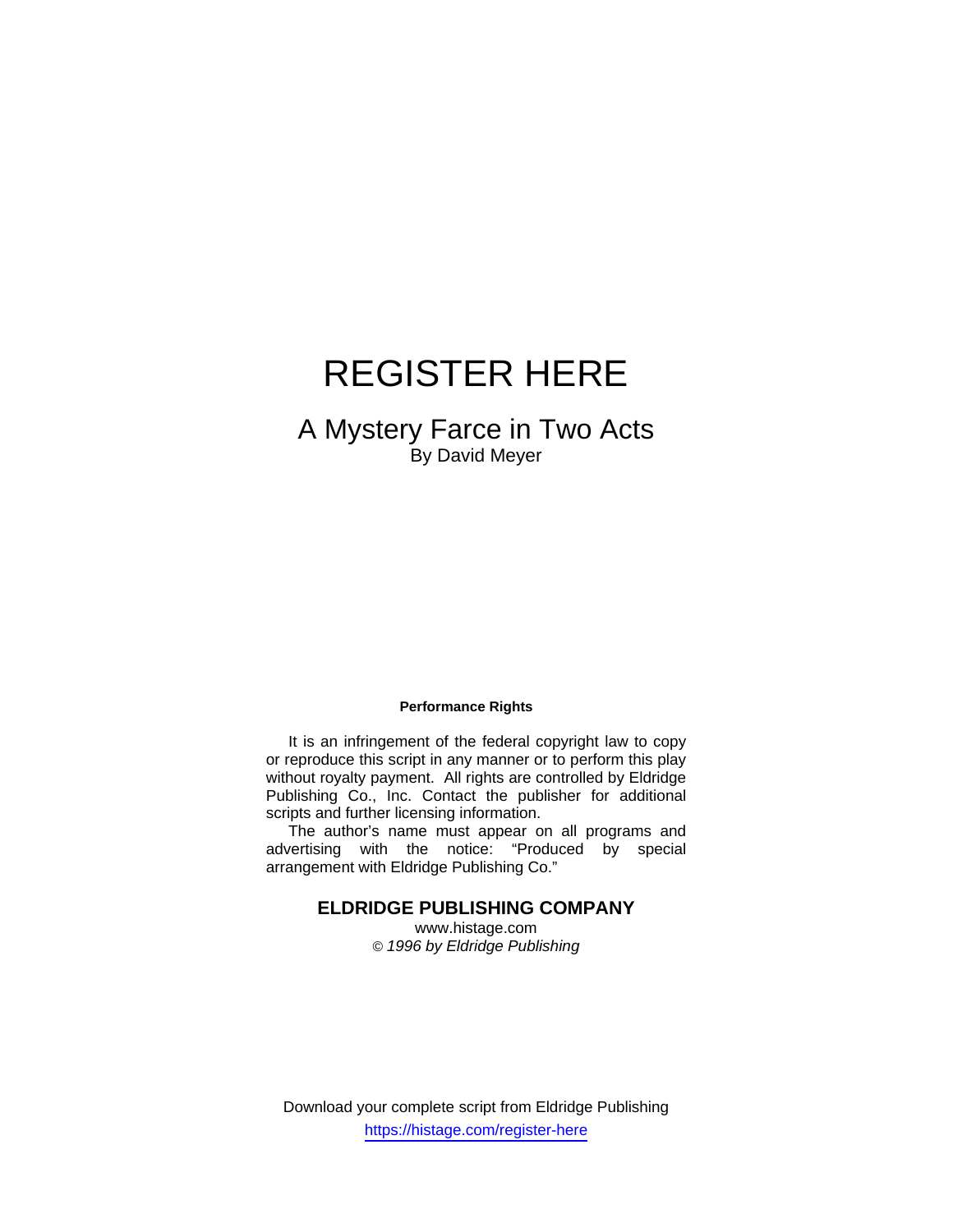# REGISTER HERE

# A Mystery Farce in Two Acts By David Meyer

#### **Performance Rights**

 It is an infringement of the federal copyright law to copy or reproduce this script in any manner or to perform this play without royalty payment. All rights are controlled by Eldridge Publishing Co., Inc. Contact the publisher for additional scripts and further licensing information.

 The author's name must appear on all programs and advertising with the notice: "Produced by special arrangement with Eldridge Publishing Co."

# **ELDRIDGE PUBLISHING COMPANY**

www.histage.com *© 1996 by Eldridge Publishing*

Download your complete script from Eldridge Publishing https://histage.com/register-here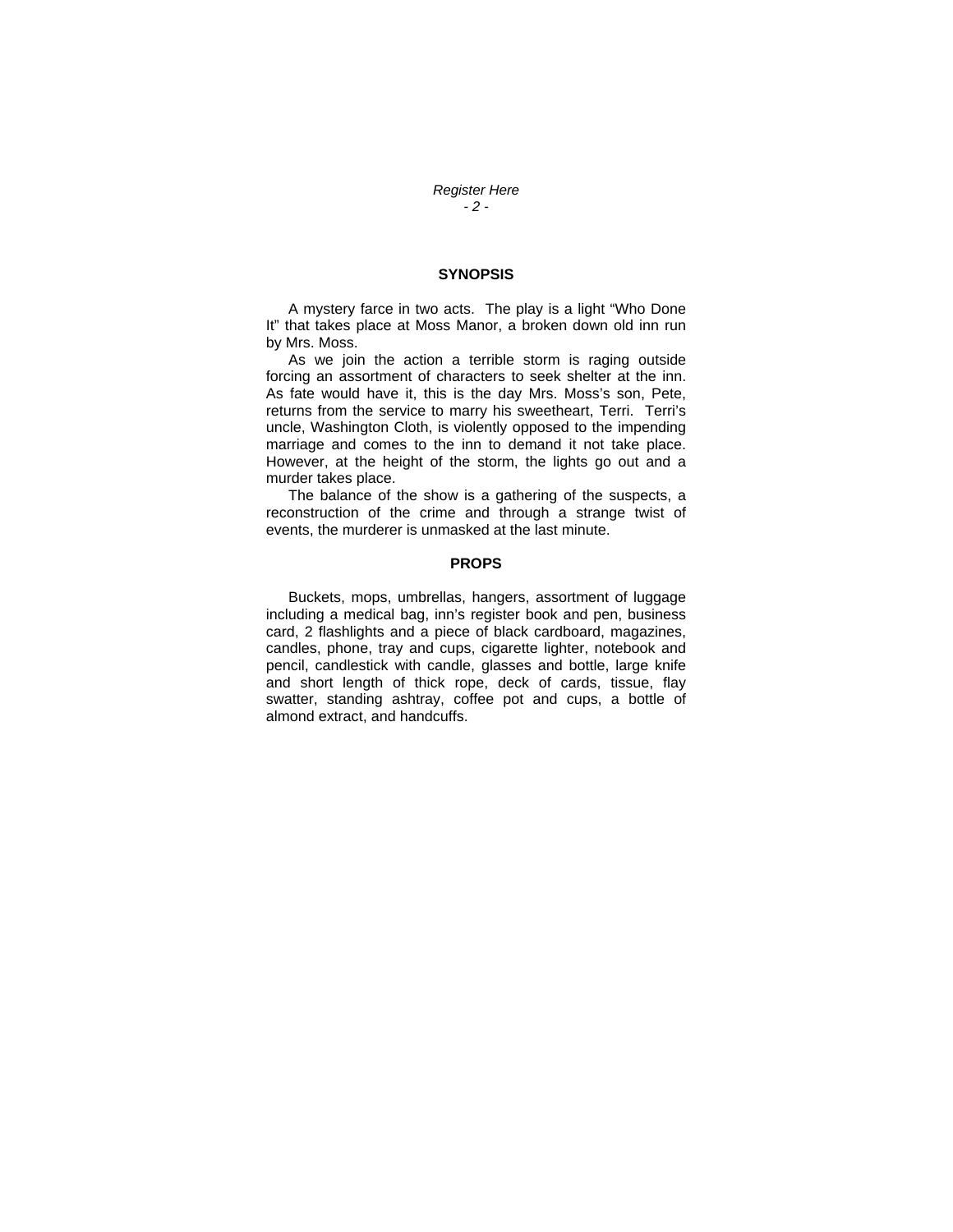*Register Here - 2 -* 

#### **SYNOPSIS**

 A mystery farce in two acts. The play is a light "Who Done It" that takes place at Moss Manor, a broken down old inn run by Mrs. Moss.

 As we join the action a terrible storm is raging outside forcing an assortment of characters to seek shelter at the inn. As fate would have it, this is the day Mrs. Moss's son, Pete, returns from the service to marry his sweetheart, Terri. Terri's uncle, Washington Cloth, is violently opposed to the impending marriage and comes to the inn to demand it not take place. However, at the height of the storm, the lights go out and a murder takes place.

 The balance of the show is a gathering of the suspects, a reconstruction of the crime and through a strange twist of events, the murderer is unmasked at the last minute.

### **PROPS**

 Buckets, mops, umbrellas, hangers, assortment of luggage including a medical bag, inn's register book and pen, business card, 2 flashlights and a piece of black cardboard, magazines, candles, phone, tray and cups, cigarette lighter, notebook and pencil, candlestick with candle, glasses and bottle, large knife and short length of thick rope, deck of cards, tissue, flay swatter, standing ashtray, coffee pot and cups, a bottle of almond extract, and handcuffs.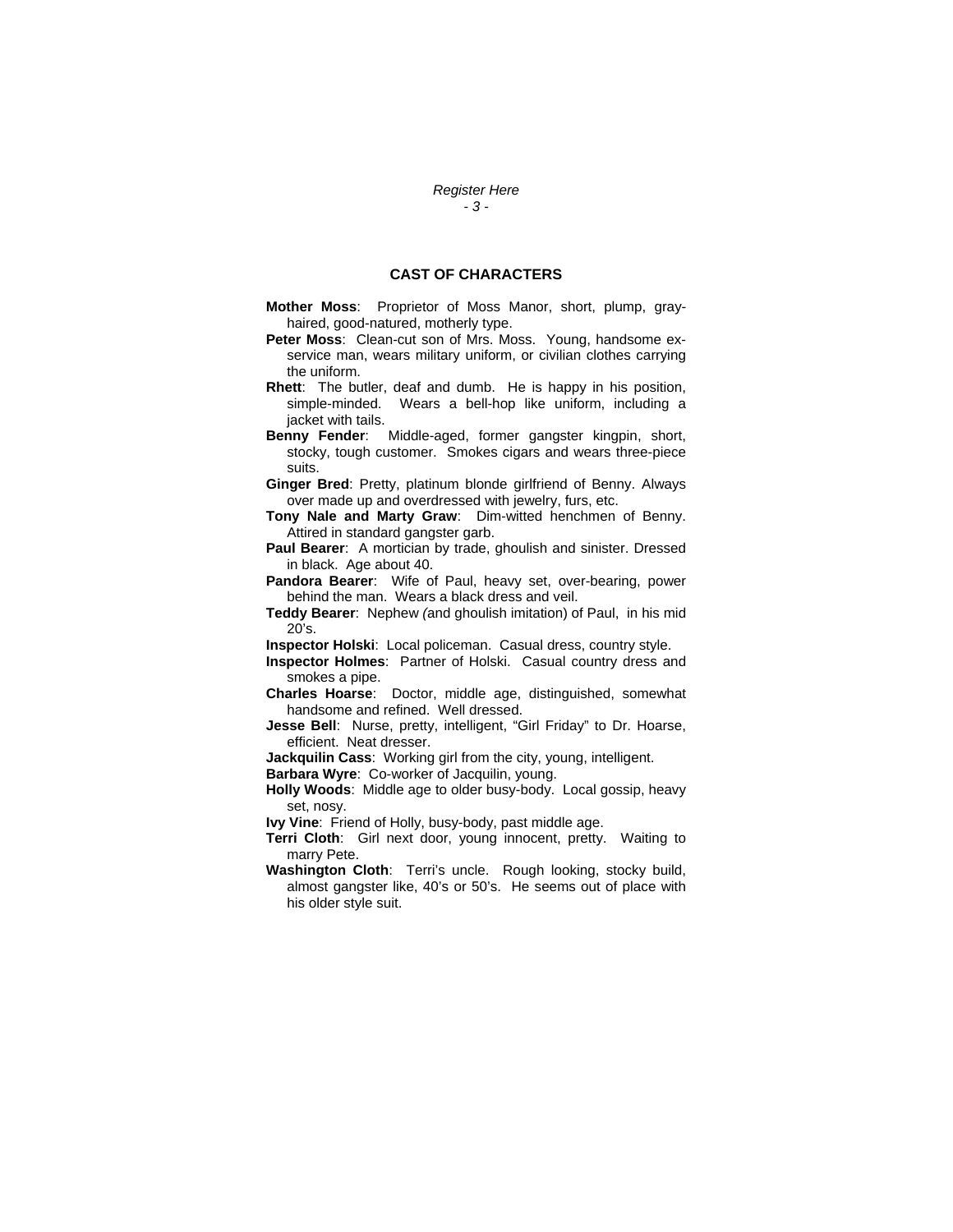### *Register Here - 3 -*

## **CAST OF CHARACTERS**

- **Mother Moss**: Proprietor of Moss Manor, short, plump, grayhaired, good-natured, motherly type.
- **Peter Moss**: Clean-cut son of Mrs. Moss. Young, handsome exservice man, wears military uniform, or civilian clothes carrying the uniform.
- **Rhett**: The butler, deaf and dumb. He is happy in his position, simple-minded. Wears a bell-hop like uniform, including a jacket with tails.
- **Benny Fender**: Middle-aged, former gangster kingpin, short, stocky, tough customer. Smokes cigars and wears three-piece suits.
- **Ginger Bred**: Pretty, platinum blonde girlfriend of Benny. Always over made up and overdressed with jewelry, furs, etc.
- **Tony Nale and Marty Graw**: Dim-witted henchmen of Benny. Attired in standard gangster garb.
- **Paul Bearer**: A mortician by trade, ghoulish and sinister. Dressed in black. Age about 40.
- **Pandora Bearer**: Wife of Paul, heavy set, over-bearing, power behind the man. Wears a black dress and veil.
- **Teddy Bearer**: Nephew *(*and ghoulish imitation) of Paul, in his mid 20's.
- **Inspector Holski**: Local policeman. Casual dress, country style.
- **Inspector Holmes**: Partner of Holski. Casual country dress and smokes a pipe.
- **Charles Hoarse**: Doctor, middle age, distinguished, somewhat handsome and refined. Well dressed.
- **Jesse Bell**: Nurse, pretty, intelligent, "Girl Friday" to Dr. Hoarse, efficient. Neat dresser.
- **Jackquilin Cass**: Working girl from the city, young, intelligent.
- **Barbara Wyre**: Co-worker of Jacquilin, young.
- **Holly Woods**: Middle age to older busy-body. Local gossip, heavy set, nosy.
- **Ivy Vine**: Friend of Holly, busy-body, past middle age.
- **Terri Cloth**: Girl next door, young innocent, pretty. Waiting to marry Pete.
- **Washington Cloth**: Terri's uncle. Rough looking, stocky build, almost gangster like, 40's or 50's. He seems out of place with his older style suit.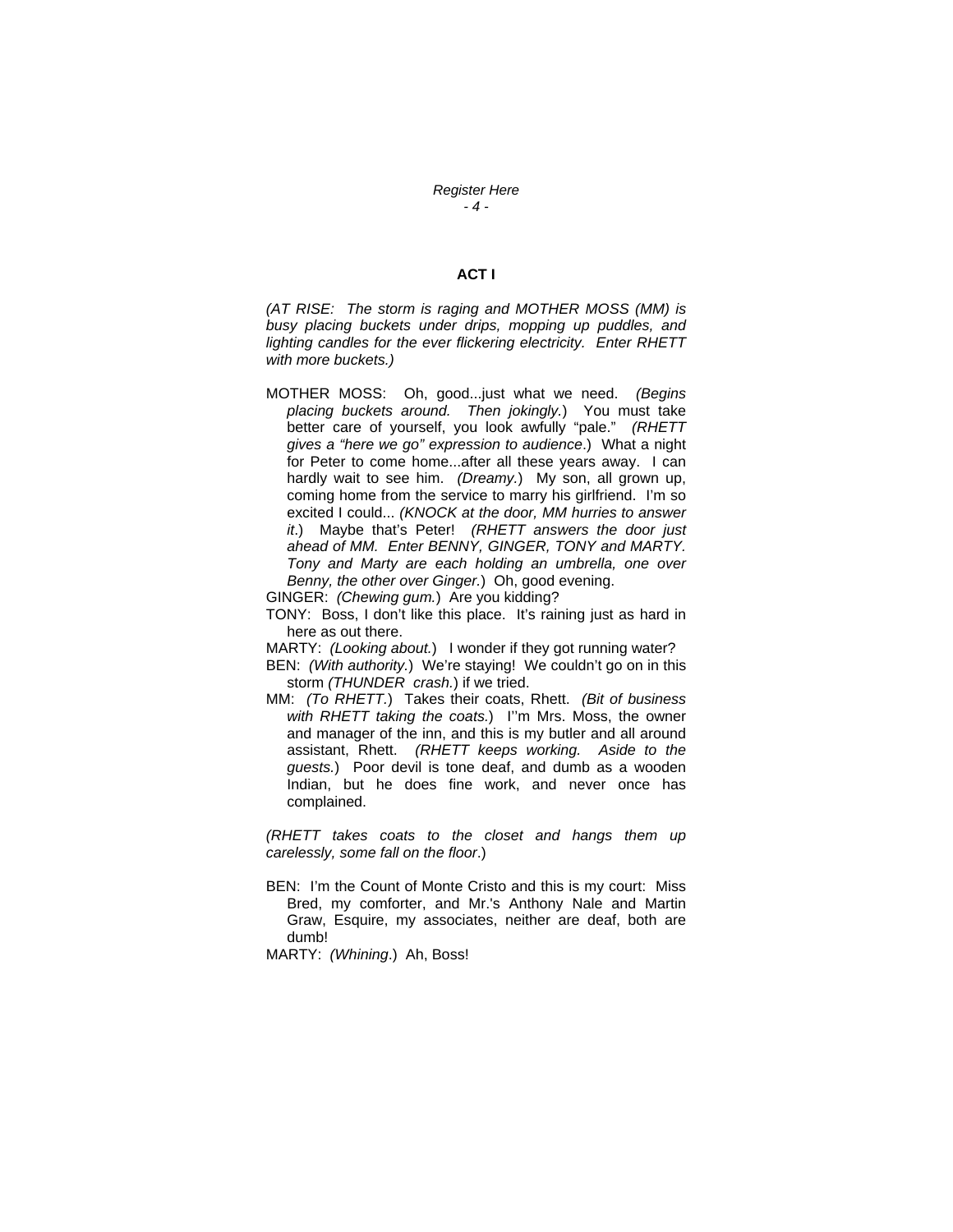### *Register Here - 4 -*

## **ACT I**

*(AT RISE: The storm is raging and MOTHER MOSS (MM) is busy placing buckets under drips, mopping up puddles, and lighting candles for the ever flickering electricity. Enter RHETT with more buckets.)*

MOTHER MOSS: Oh, good...just what we need. *(Begins placing buckets around. Then jokingly.*) You must take better care of yourself, you look awfully "pale." *(RHETT gives a "here we go" expression to audience*.) What a night for Peter to come home...after all these years away. I can hardly wait to see him. *(Dreamy.*) My son, all grown up, coming home from the service to marry his girlfriend. I'm so excited I could... *(KNOCK at the door, MM hurries to answer it*.) Maybe that's Peter! *(RHETT answers the door just ahead of MM. Enter BENNY, GINGER, TONY and MARTY. Tony and Marty are each holding an umbrella, one over Benny, the other over Ginger.*) Oh, good evening.

GINGER: *(Chewing gum.*) Are you kidding?

TONY: Boss, I don't like this place. It's raining just as hard in here as out there.

MARTY: *(Looking about.*) I wonder if they got running water?

BEN: *(With authority.*) We're staying! We couldn't go on in this storm *(THUNDER crash.*) if we tried.

MM: *(To RHETT.*) Takes their coats, Rhett. *(Bit of business with RHETT taking the coats.*) I''m Mrs. Moss, the owner and manager of the inn, and this is my butler and all around assistant, Rhett. *(RHETT keeps working. Aside to the guests.*) Poor devil is tone deaf, and dumb as a wooden Indian, but he does fine work, and never once has complained.

*(RHETT takes coats to the closet and hangs them up carelessly, some fall on the floor*.)

BEN: I'm the Count of Monte Cristo and this is my court: Miss Bred, my comforter, and Mr.'s Anthony Nale and Martin Graw, Esquire, my associates, neither are deaf, both are dumb!

MARTY: *(Whining*.) Ah, Boss!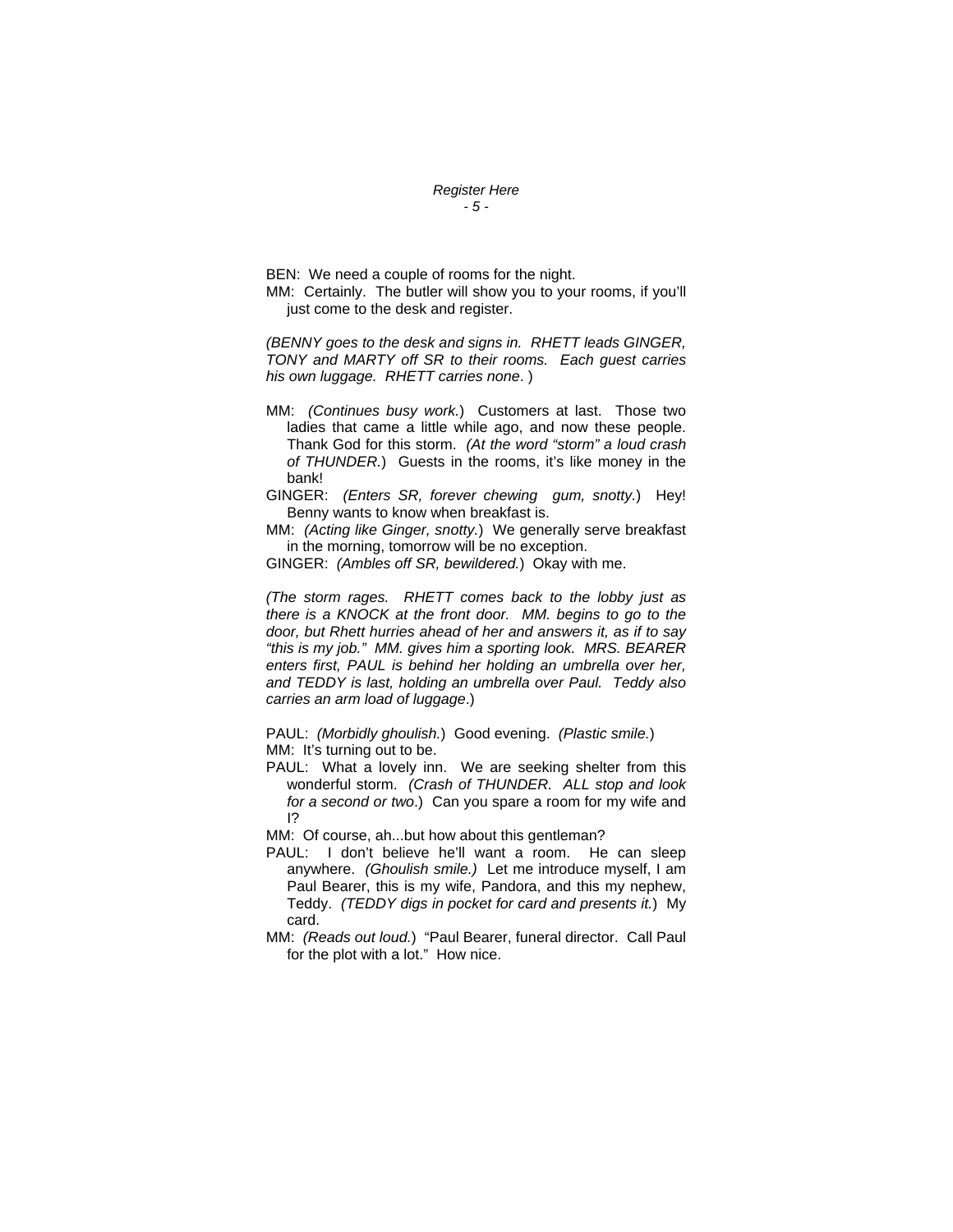#### *Register Here - 5 -*

BEN: We need a couple of rooms for the night. MM: Certainly. The butler will show you to your rooms, if you'll just come to the desk and register.

*(BENNY goes to the desk and signs in. RHETT leads GINGER, TONY and MARTY off SR to their rooms. Each guest carries his own luggage. RHETT carries none*. )

- MM: *(Continues busy work.*) Customers at last. Those two ladies that came a little while ago, and now these people. Thank God for this storm. *(At the word "storm" a loud crash of THUNDER.*) Guests in the rooms, it's like money in the bank!
- GINGER: *(Enters SR, forever chewing gum, snotty.*) Hey! Benny wants to know when breakfast is.
- MM: *(Acting like Ginger, snotty.*) We generally serve breakfast in the morning, tomorrow will be no exception.
- GINGER: *(Ambles off SR, bewildered.*) Okay with me.

*(The storm rages. RHETT comes back to the lobby just as there is a KNOCK at the front door. MM. begins to go to the door, but Rhett hurries ahead of her and answers it, as if to say "this is my job." MM. gives him a sporting look. MRS. BEARER enters first, PAUL is behind her holding an umbrella over her, and TEDDY is last, holding an umbrella over Paul. Teddy also carries an arm load of luggage*.)

PAUL: *(Morbidly ghoulish.*) Good evening. *(Plastic smile.*) MM: It's turning out to be.

PAUL: What a lovely inn. We are seeking shelter from this wonderful storm. *(Crash of THUNDER. ALL stop and look for a second or two*.) Can you spare a room for my wife and I?

MM: Of course, ah...but how about this gentleman?

- PAUL: I don't believe he'll want a room. He can sleep anywhere. *(Ghoulish smile.)* Let me introduce myself, I am Paul Bearer, this is my wife, Pandora, and this my nephew, Teddy. *(TEDDY digs in pocket for card and presents it.*) My card.
- MM: *(Reads out loud.*) "Paul Bearer, funeral director. Call Paul for the plot with a lot." How nice.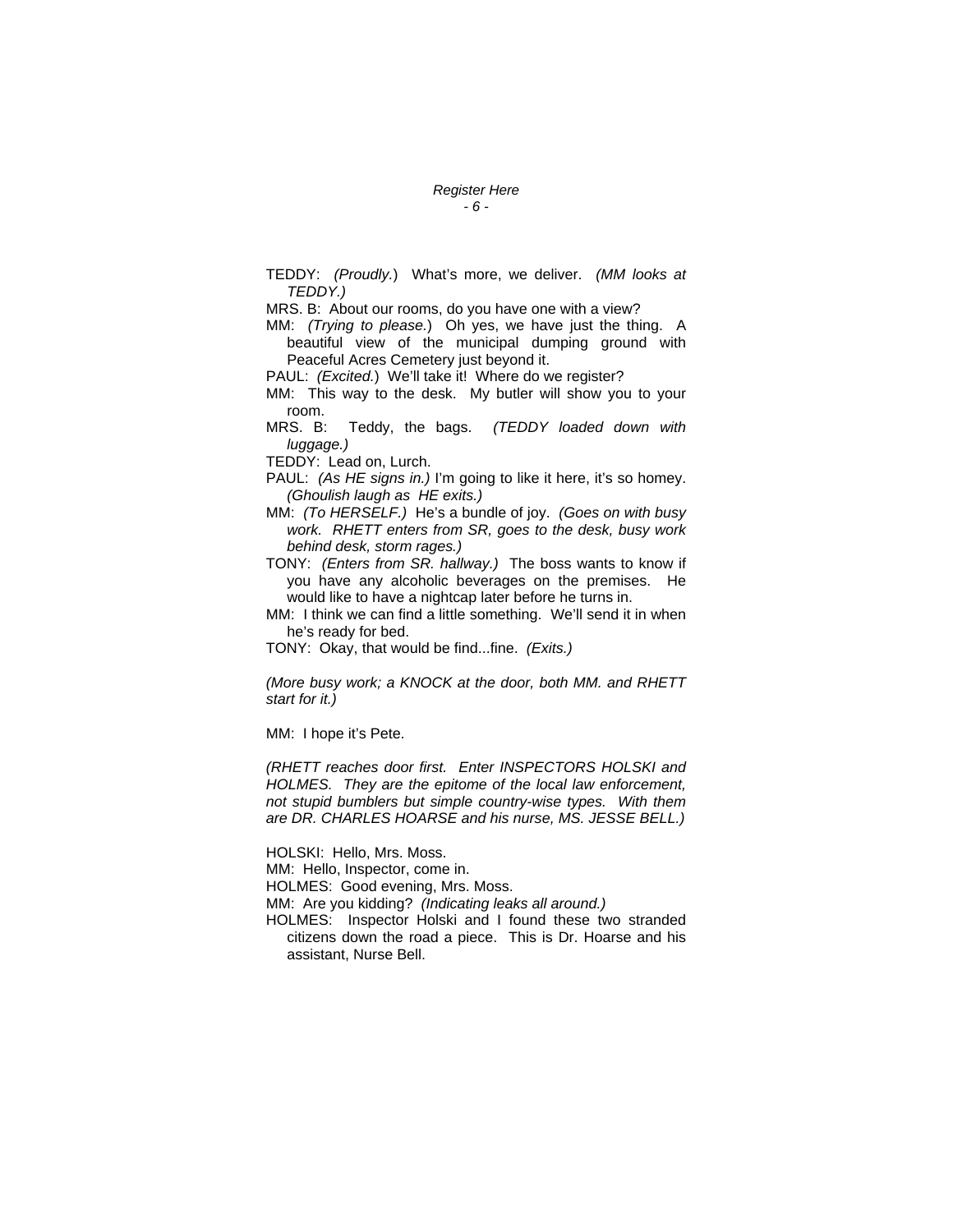#### *Register Here - 6 -*

TEDDY: *(Proudly.*) What's more, we deliver. *(MM looks at TEDDY.)*

MRS. B: About our rooms, do you have one with a view?

MM: *(Trying to please.*) Oh yes, we have just the thing. A beautiful view of the municipal dumping ground with Peaceful Acres Cemetery just beyond it.

PAUL: *(Excited.)* We'll take it! Where do we register?

MM: This way to the desk. My butler will show you to your room.

MRS. B: Teddy, the bags. *(TEDDY loaded down with luggage.)*

TEDDY: Lead on, Lurch.

PAUL: *(As HE signs in.)* I'm going to like it here, it's so homey. *(Ghoulish laugh as HE exits.)*

MM: *(To HERSELF.)* He's a bundle of joy. *(Goes on with busy work. RHETT enters from SR, goes to the desk, busy work behind desk, storm rages.)*

TONY: *(Enters from SR. hallway.)* The boss wants to know if you have any alcoholic beverages on the premises. He would like to have a nightcap later before he turns in.

MM: I think we can find a little something. We'll send it in when he's ready for bed.

TONY: Okay, that would be find...fine. *(Exits.)*

*(More busy work; a KNOCK at the door, both MM. and RHETT start for it.)*

MM: I hope it's Pete.

*(RHETT reaches door first. Enter INSPECTORS HOLSKI and HOLMES. They are the epitome of the local law enforcement, not stupid bumblers but simple country-wise types. With them are DR. CHARLES HOARSE and his nurse, MS. JESSE BELL.)*

HOLSKI: Hello, Mrs. Moss.

MM: Hello, Inspector, come in.

HOLMES: Good evening, Mrs. Moss.

MM: Are you kidding? *(Indicating leaks all around.)*

HOLMES: Inspector Holski and I found these two stranded citizens down the road a piece. This is Dr. Hoarse and his assistant, Nurse Bell.